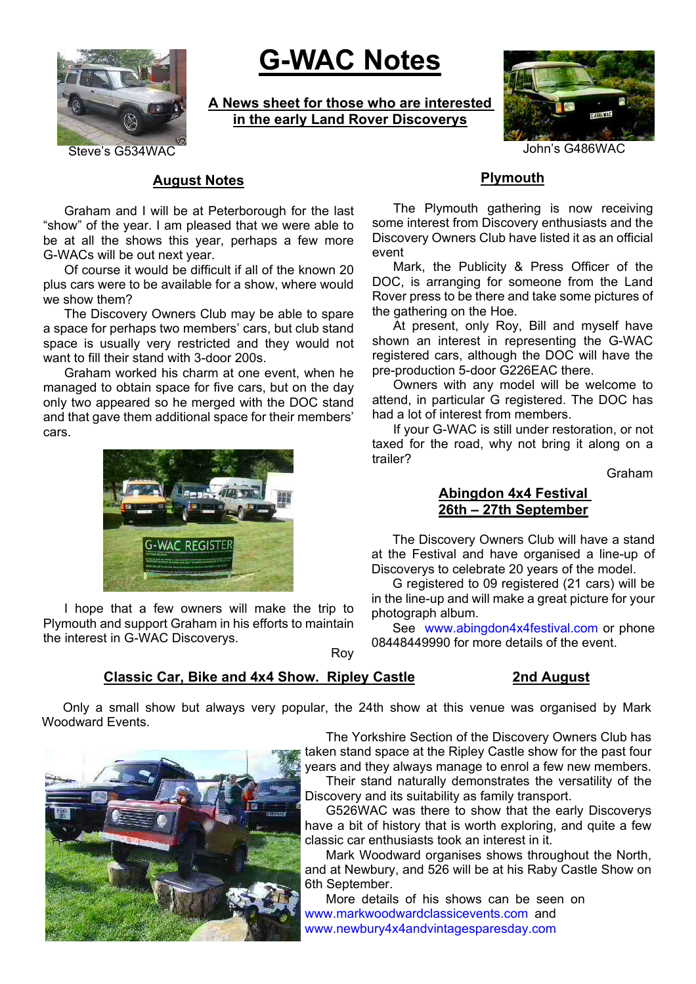

# **G-WAC Notes**

**A News sheet for those who are interested in the early Land Rover Discoverys**



Steve's G534WAC 30 AU ACC 2012 10 AU ACC 2014 10 AU ACC 30 AU ACC 30 AU ACC 30 AU ACC 30 AU ACC 30 AU ACC 30 AU

## **August Notes**

Graham and I will be at Peterborough for the last "show" of the year. I am pleased that we were able to be at all the shows this year, perhaps a few more G-WACs will be out next year.

Of course it would be difficult if all of the known 20 plus cars were to be available for a show, where would we show them?

The Discovery Owners Club may be able to spare a space for perhaps two members' cars, but club stand space is usually very restricted and they would not want to fill their stand with 3-door 200s.

Graham worked his charm at one event, when he managed to obtain space for five cars, but on the day only two appeared so he merged with the DOC stand and that gave them additional space for their members' cars.



I hope that a few owners will make the trip to Plymouth and support Graham in his efforts to maintain the interest in G-WAC Discoverys.

## **Plymouth**

The Plymouth gathering is now receiving some interest from Discovery enthusiasts and the Discovery Owners Club have listed it as an official event

Mark, the Publicity & Press Officer of the DOC, is arranging for someone from the Land Rover press to be there and take some pictures of the gathering on the Hoe.

At present, only Roy, Bill and myself have shown an interest in representing the G-WAC registered cars, although the DOC will have the pre-production 5-door G226EAC there.

Owners with any model will be welcome to attend, in particular G registered. The DOC has had a lot of interest from members.

If your G-WAC is still under restoration, or not taxed for the road, why not bring it along on a trailer?

Graham

### **Abingdon 4x4 Festival 26th – 27th September**

The Discovery Owners Club will have a stand at the Festival and have organised a line-up of Discoverys to celebrate 20 years of the model.

G registered to 09 registered (21 cars) will be in the line-up and will make a great picture for your photograph album.

See www.abingdon4x4festival.com or phone 08448449990 for more details of the event.

Roy

# **Classic Car, Bike and 4x4 Show. Ripley Castle 2nd August**

Only a small show but always very popular, the 24th show at this venue was organised by Mark Woodward Events.

The Yorkshire Section of the Discovery Owners Club has taken stand space at the Ripley Castle show for the past four years and they always manage to enrol a few new members. Their stand naturally demonstrates the versatility of the Discovery and its suitability as family transport.

G526WAC was there to show that the early Discoverys have a bit of history that is worth exploring, and quite a few classic car enthusiasts took an interest in it.

Mark Woodward organises shows throughout the North, and at Newbury, and 526 will be at his Raby Castle Show on 6th September.

More details of his shows can be seen on www.markwoodwardclassicevents.com and www.newbury4x4andvintagesparesday.com